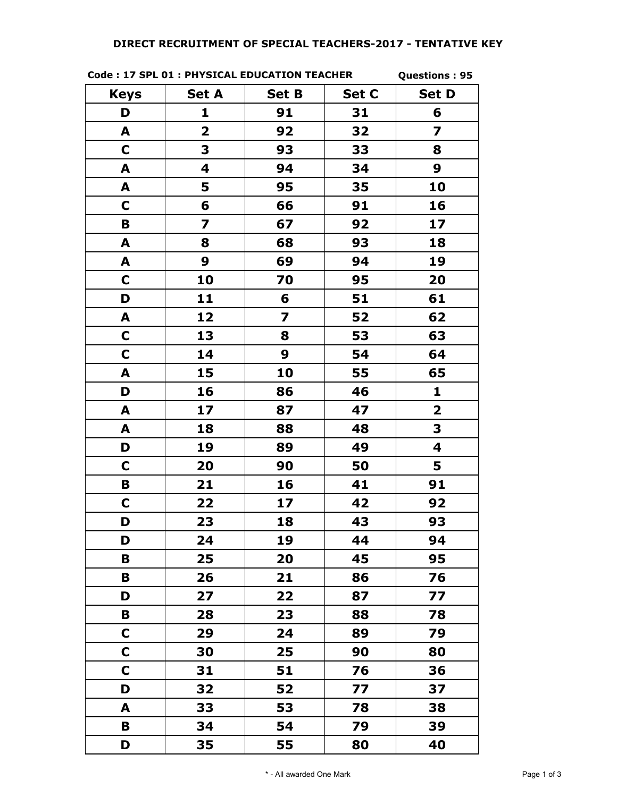## **Code : 17 SPL 01 : PHYSICAL EDUCATION TEACHER**

**Questions : 95**

| <b>Keys</b>  | <b>Set A</b>            | <b>Set B</b>            | Set C | <b>Set D</b>            |
|--------------|-------------------------|-------------------------|-------|-------------------------|
| D            | 1                       | 91                      | 31    | 6                       |
| A            | $\overline{\mathbf{2}}$ | 92                      | 32    | 7                       |
| $\mathbf C$  | 3                       | 93                      | 33    | 8                       |
| A            | 4                       | 94                      | 34    | 9                       |
| A            | 5                       | 95                      | 35    | 10                      |
| $\mathbf C$  | 6                       | 66                      | 91    | 16                      |
| B            | $\overline{\mathbf{z}}$ | 67                      | 92    | 17                      |
| A            | 8                       | 68                      | 93    | 18                      |
| A            | 9                       | 69                      | 94    | 19                      |
| C            | 10                      | 70                      | 95    | 20                      |
| D            | 11                      | 6                       | 51    | 61                      |
| A            | 12                      | $\overline{\mathbf{z}}$ | 52    | 62                      |
| $\mathbf C$  | 13                      | 8                       | 53    | 63                      |
| $\mathbf C$  | 14                      | 9                       | 54    | 64                      |
| A            | 15                      | 10                      | 55    | 65                      |
| D            | 16                      | 86                      | 46    | 1                       |
| A            | 17                      | 87                      | 47    | $\overline{\mathbf{2}}$ |
| A            | 18                      | 88                      | 48    | 3                       |
| D            | 19                      | 89                      | 49    | $\overline{\mathbf{4}}$ |
| $\mathbf C$  | 20                      | 90                      | 50    | 5                       |
| B            | 21                      | 16                      | 41    | 91                      |
| $\mathbf C$  | 22                      | 17                      | 42    | 92                      |
| D            | 23                      | 18                      | 43    | 93                      |
| D            | 24                      | 19                      | 44    | 94                      |
| В            | 25                      | 20                      | 45    | 95                      |
| В            | 26                      | 21                      | 86    | 76                      |
| D            | 27                      | 22                      | 87    | 77                      |
| В            | 28                      | 23                      | 88    | 78                      |
| $\mathbf C$  | 29                      | 24                      | 89    | 79                      |
| C            | 30                      | 25                      | 90    | 80                      |
| $\mathsf{C}$ | 31                      | 51                      | 76    | 36                      |
| D            | 32                      | 52                      | 77    | 37                      |
| A            | 33                      | 53                      | 78    | 38                      |
| В            | 34                      | 54                      | 79    | 39                      |
| D            | 35                      | 55                      | 80    | 40                      |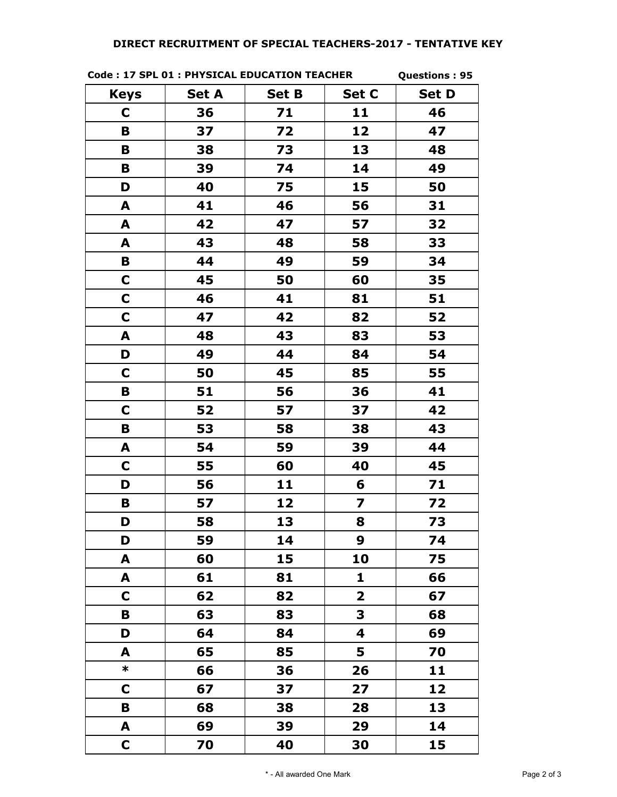|  | Code: 17 SPL 01 : PHYSICAL EDUCATION TEACHER |  |
|--|----------------------------------------------|--|
|  |                                              |  |

**Questions : 95**

| <b>Keys</b> | <b>Set A</b> | <b>Set B</b> | Set C        | <b>Set D</b> |
|-------------|--------------|--------------|--------------|--------------|
| C           | 36           | 71           | 11           | 46           |
| B           | 37           | 72           | 12           | 47           |
| B           | 38           | 73           | 13           | 48           |
| B           | 39           | 74           | 14           | 49           |
| D           | 40           | 75           | 15           | 50           |
| A           | 41           | 46           | 56           | 31           |
| A           | 42           | 47           | 57           | 32           |
| A           | 43           | 48           | 58           | 33           |
| B           | 44           | 49           | 59           | 34           |
| C           | 45           | 50           | 60           | 35           |
| $\mathbf C$ | 46           | 41           | 81           | 51           |
| $\mathbf C$ | 47           | 42           | 82           | 52           |
| A           | 48           | 43           | 83           | 53           |
| D           | 49           | 44           | 84           | 54           |
| C           | 50           | 45           | 85           | 55           |
| B           | 51           | 56           | 36           | 41           |
| C           | 52           | 57           | 37           | 42           |
| B           | 53           | 58           | 38           | 43           |
| A           | 54           | 59           | 39           | 44           |
| $\mathbf C$ | 55           | 60           | 40           | 45           |
| D           | 56           | 11           | 6            | 71           |
| B           | 57           | 12           | 7            | 72           |
| D           | 58           | 13           | 8            | 73           |
| D           | 59           | 14           | 9            | 74           |
| A           | 60           | 15           | 10           | 75           |
| A           | 61           | 81           | 1            | 66           |
| C           | 62           | 82           | $\mathbf{2}$ | 67           |
| B           | 63           | 83           | 3            | 68           |
| D           | 64           | 84           | 4            | 69           |
| A           | 65           | 85           | 5            | 70           |
| $\ast$      | 66           | 36           | 26           | 11           |
| $\mathbf C$ | 67           | 37           | 27           | 12           |
| B           | 68           | 38           | 28           | 13           |
| A           | 69           | 39           | 29           | 14           |
| $\mathbf C$ | 70           | 40           | 30           | 15           |